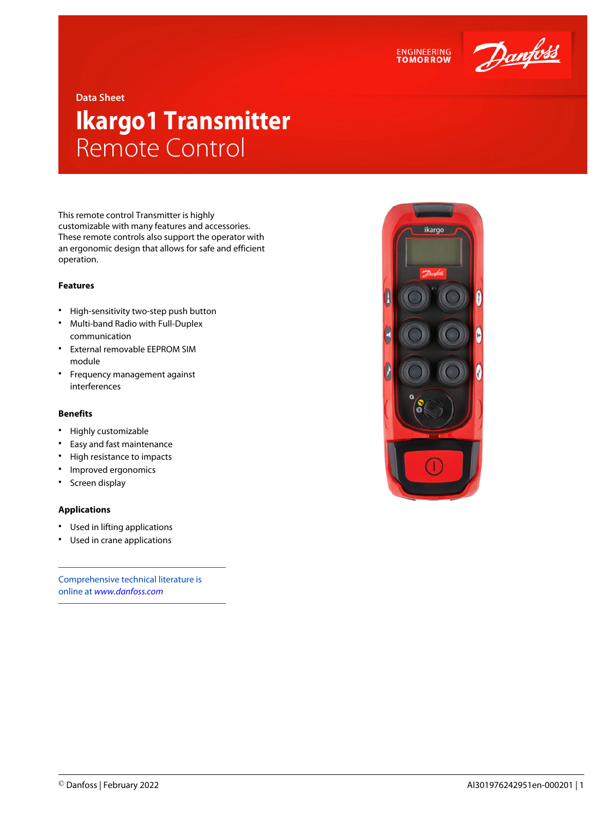



**Data Sheet**

# **Ikargo1 Transmitter** Remote Control

This remote control Transmitter is highly customizable with many features and accessories. These remote controls also support the operator with an ergonomic design that allows for safe and efficient operation.

### **Features**

- High-sensitivity two-step push button
- Multi-band Radio with Full-Duplex communication
- External removable EEPROM SIM module
- Frequency management against interferences

#### **Benefits**

- Highly customizable
- Easy and fast maintenance
- High resistance to impacts
- Improved ergonomics
- Screen display

#### **Applications**

- Used in lifting applications
- Used in crane applications

Comprehensive technical literature is online at *[www.danfoss.com](https://www.danfoss.com/en/search/?filter=type%3Adocumentation%2Csegment%3Adps)*